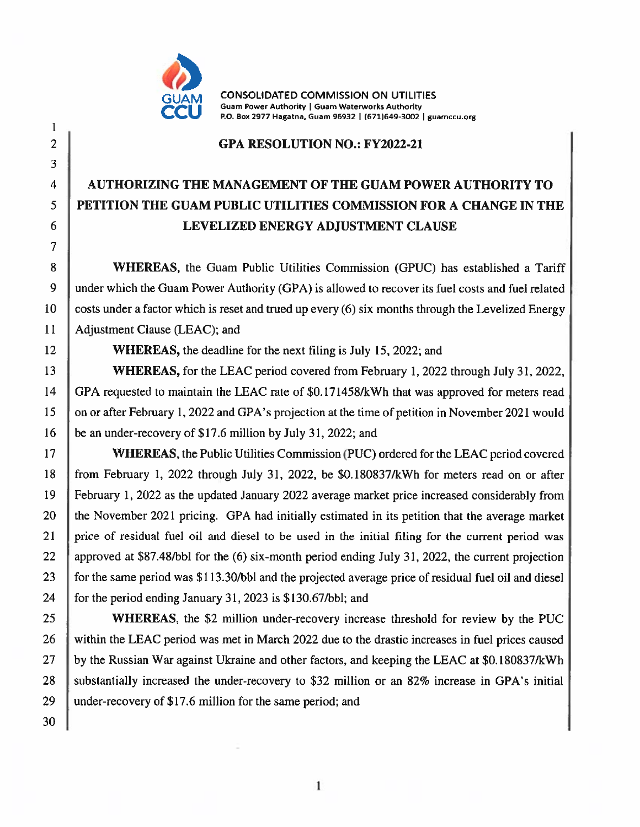

**CONSOLIDATED COMMISSION ON UTILITIES** Guam Power Authority | Guam Waterworks Authority P.O. Box 2977 Hagatna, Guam 96932 | (671)649-3002 | guamccu.org

## **GPA RESOLUTION NO.: FY2022-21**

## **AUTHORIZING THE MANAGEMENT OF THE GUAM POWER AUTHORITY TO** PETITION THE GUAM PUBLIC UTILITIES COMMISSION FOR A CHANGE IN THE LEVELIZED ENERGY ADJUSTMENT CLAUSE

**WHEREAS,** the Guam Public Utilities Commission (GPUC) has established a Tariff under which the Guam Power Authority (GPA) is allowed to recover its fuel costs and fuel related costs under a factor which is reset and trued up every (6) six months through the Levelized Energy Adjustment Clause (LEAC); and

**WHEREAS**, the deadline for the next filing is July 15, 2022; and

WHEREAS, for the LEAC period covered from February 1, 2022 through July 31, 2022, GPA requested to maintain the LEAC rate of \$0.171458/kWh that was approved for meters read on or after February 1, 2022 and GPA's projection at the time of petition in November 2021 would be an under-recovery of \$17.6 million by July 31, 2022; and

**WHEREAS, the Public Utilities Commission (PUC) ordered for the LEAC period covered** from February 1, 2022 through July 31, 2022, be \$0.180837/kWh for meters read on or after February 1, 2022 as the updated January 2022 average market price increased considerably from the November 2021 pricing. GPA had initially estimated in its petition that the average market price of residual fuel oil and diesel to be used in the initial filing for the current period was approved at \$87.48/bbl for the (6) six-month period ending July 31, 2022, the current projection for the same period was \$113.30/bbl and the projected average price of residual fuel oil and diesel for the period ending January 31, 2023 is \$130.67/bbl; and

**WHEREAS**, the \$2 million under-recovery increase threshold for review by the PUC within the LEAC period was met in March 2022 due to the drastic increases in fuel prices caused by the Russian War against Ukraine and other factors, and keeping the LEAC at \$0.180837/kWh substantially increased the under-recovery to \$32 million or an 82% increase in GPA's initial under-recovery of \$17.6 million for the same period; and

 $\mathbf{1}$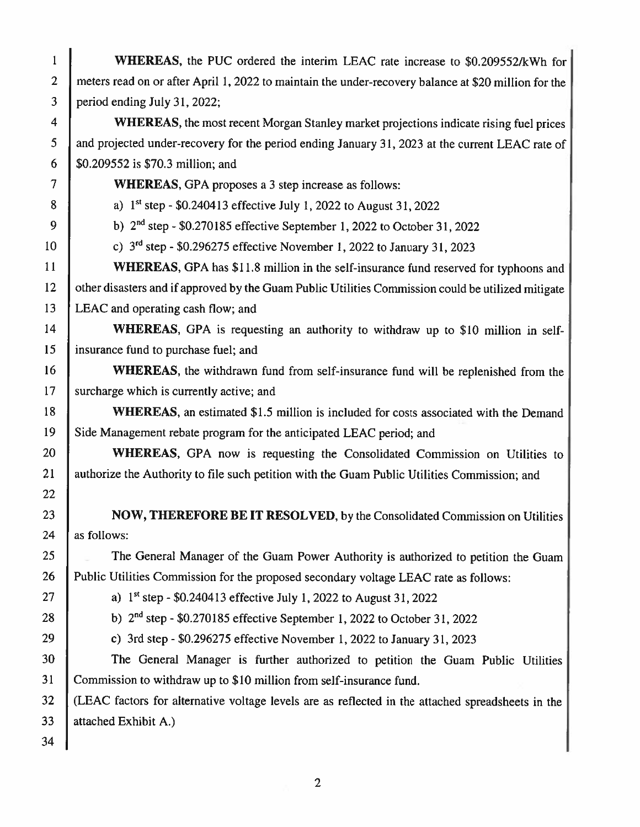| $\mathbf{1}$             | WHEREAS, the PUC ordered the interim LEAC rate increase to \$0.209552/kWh for                        |  |  |  |  |  |  |  |
|--------------------------|------------------------------------------------------------------------------------------------------|--|--|--|--|--|--|--|
| $\overline{2}$           | meters read on or after April 1, 2022 to maintain the under-recovery balance at \$20 million for the |  |  |  |  |  |  |  |
| 3                        | period ending July 31, 2022;                                                                         |  |  |  |  |  |  |  |
| $\overline{\mathbf{4}}$  | <b>WHEREAS</b> , the most recent Morgan Stanley market projections indicate rising fuel prices       |  |  |  |  |  |  |  |
| 5                        | and projected under-recovery for the period ending January 31, 2023 at the current LEAC rate of      |  |  |  |  |  |  |  |
| 6                        | \$0.209552 is \$70.3 million; and                                                                    |  |  |  |  |  |  |  |
| $\overline{\mathcal{L}}$ | <b>WHEREAS, GPA</b> proposes a 3 step increase as follows:                                           |  |  |  |  |  |  |  |
| 8                        | a) 1st step - \$0.240413 effective July 1, 2022 to August 31, 2022                                   |  |  |  |  |  |  |  |
| 9                        | b) $2nd$ step - \$0.270185 effective September 1, 2022 to October 31, 2022                           |  |  |  |  |  |  |  |
| 10                       | c) $3rd$ step - \$0.296275 effective November 1, 2022 to January 31, 2023                            |  |  |  |  |  |  |  |
| 11                       | WHEREAS, GPA has \$11.8 million in the self-insurance fund reserved for typhoons and                 |  |  |  |  |  |  |  |
| 12                       | other disasters and if approved by the Guam Public Utilities Commission could be utilized mitigate   |  |  |  |  |  |  |  |
| 13                       | LEAC and operating cash flow; and                                                                    |  |  |  |  |  |  |  |
| 14                       | WHEREAS, GPA is requesting an authority to withdraw up to \$10 million in self-                      |  |  |  |  |  |  |  |
| 15                       | insurance fund to purchase fuel; and                                                                 |  |  |  |  |  |  |  |
| 16                       | <b>WHEREAS</b> , the withdrawn fund from self-insurance fund will be replenished from the            |  |  |  |  |  |  |  |
| 17                       | surcharge which is currently active; and                                                             |  |  |  |  |  |  |  |
| 18                       | WHEREAS, an estimated \$1.5 million is included for costs associated with the Demand                 |  |  |  |  |  |  |  |
| 19                       | Side Management rebate program for the anticipated LEAC period; and                                  |  |  |  |  |  |  |  |
| 20                       | WHEREAS, GPA now is requesting the Consolidated Commission on Utilities to                           |  |  |  |  |  |  |  |
| 21                       | authorize the Authority to file such petition with the Guam Public Utilities Commission; and         |  |  |  |  |  |  |  |
| 22                       |                                                                                                      |  |  |  |  |  |  |  |
| 23                       | NOW, THEREFORE BE IT RESOLVED, by the Consolidated Commission on Utilities                           |  |  |  |  |  |  |  |
| 24                       | as follows:                                                                                          |  |  |  |  |  |  |  |
| 25                       | The General Manager of the Guam Power Authority is authorized to petition the Guam                   |  |  |  |  |  |  |  |
| 26                       | Public Utilities Commission for the proposed secondary voltage LEAC rate as follows:                 |  |  |  |  |  |  |  |
| 27                       | a) 1st step - \$0.240413 effective July 1, 2022 to August 31, 2022                                   |  |  |  |  |  |  |  |
| 28                       | b) $2nd$ step - \$0.270185 effective September 1, 2022 to October 31, 2022                           |  |  |  |  |  |  |  |
| 29                       | c) 3rd step - \$0.296275 effective November 1, 2022 to January 31, 2023                              |  |  |  |  |  |  |  |
| 30                       | The General Manager is further authorized to petition the Guam Public Utilities                      |  |  |  |  |  |  |  |
| 31                       | Commission to withdraw up to \$10 million from self-insurance fund.                                  |  |  |  |  |  |  |  |
| 32                       | (LEAC factors for alternative voltage levels are as reflected in the attached spreadsheets in the    |  |  |  |  |  |  |  |
| 33                       | attached Exhibit A.)                                                                                 |  |  |  |  |  |  |  |
| 34                       |                                                                                                      |  |  |  |  |  |  |  |

 $\overline{c}$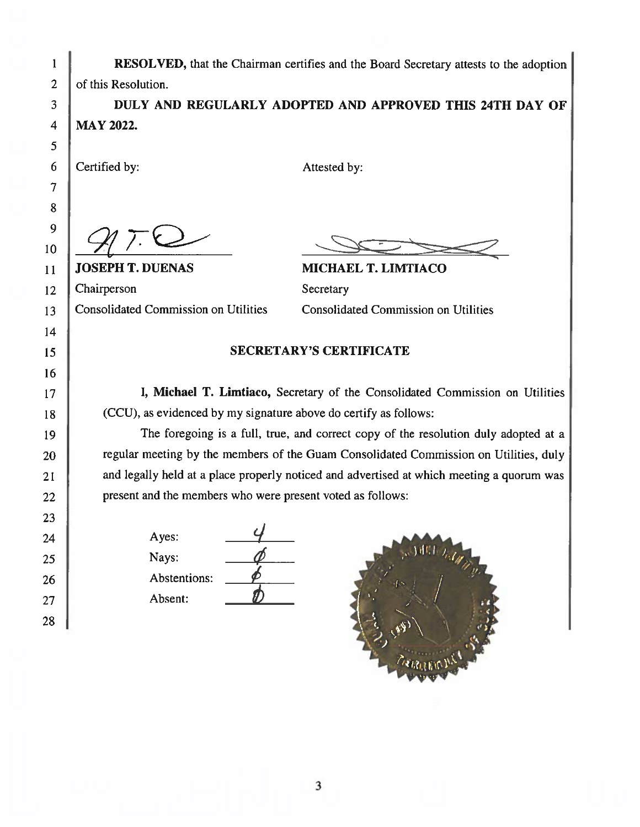| 1              | <b>RESOLVED</b> , that the Chairman certifies and the Board Secretary attests to the adoption |                            |  |  |  |  |  |  |  |  |
|----------------|-----------------------------------------------------------------------------------------------|----------------------------|--|--|--|--|--|--|--|--|
| $\overline{2}$ | of this Resolution.                                                                           |                            |  |  |  |  |  |  |  |  |
| 3              | DULY AND REGULARLY ADOPTED AND APPROVED THIS 24TH DAY OF                                      |                            |  |  |  |  |  |  |  |  |
| $\overline{4}$ | <b>MAY 2022.</b>                                                                              |                            |  |  |  |  |  |  |  |  |
| 5              |                                                                                               |                            |  |  |  |  |  |  |  |  |
| 6              | Certified by:                                                                                 | Attested by:               |  |  |  |  |  |  |  |  |
| 7              |                                                                                               |                            |  |  |  |  |  |  |  |  |
| 8              |                                                                                               |                            |  |  |  |  |  |  |  |  |
| 9              |                                                                                               |                            |  |  |  |  |  |  |  |  |
| 10             |                                                                                               |                            |  |  |  |  |  |  |  |  |
| 11             | <b>JOSEPH T. DUENAS</b>                                                                       | <b>MICHAEL T. LIMTIACO</b> |  |  |  |  |  |  |  |  |
| 12             | Chairperson                                                                                   | Secretary                  |  |  |  |  |  |  |  |  |
| 13             | <b>Consolidated Commission on Utilities</b><br><b>Consolidated Commission on Utilities</b>    |                            |  |  |  |  |  |  |  |  |
| 14             |                                                                                               |                            |  |  |  |  |  |  |  |  |
| 15             | <b>SECRETARY'S CERTIFICATE</b>                                                                |                            |  |  |  |  |  |  |  |  |
| 16             |                                                                                               |                            |  |  |  |  |  |  |  |  |
| 17             | I, Michael T. Limtiaco, Secretary of the Consolidated Commission on Utilities                 |                            |  |  |  |  |  |  |  |  |
| 18             | (CCU), as evidenced by my signature above do certify as follows:                              |                            |  |  |  |  |  |  |  |  |
| 19             | The foregoing is a full, true, and correct copy of the resolution duly adopted at a           |                            |  |  |  |  |  |  |  |  |
| 20             | regular meeting by the members of the Guam Consolidated Commission on Utilities, duly         |                            |  |  |  |  |  |  |  |  |
| 21             | and legally held at a place properly noticed and advertised at which meeting a quorum was     |                            |  |  |  |  |  |  |  |  |
| 22             | present and the members who were present voted as follows:                                    |                            |  |  |  |  |  |  |  |  |
| 23             |                                                                                               |                            |  |  |  |  |  |  |  |  |
| 24             | Ayes:                                                                                         |                            |  |  |  |  |  |  |  |  |
| 25             | Nays:                                                                                         | SHILL Rd Mar               |  |  |  |  |  |  |  |  |
| 26             | Abstentions:                                                                                  |                            |  |  |  |  |  |  |  |  |
| 27             | Absent:                                                                                       |                            |  |  |  |  |  |  |  |  |
| 28             |                                                                                               |                            |  |  |  |  |  |  |  |  |

 $\overline{\mathbf{3}}$ 

CREATED AND STATES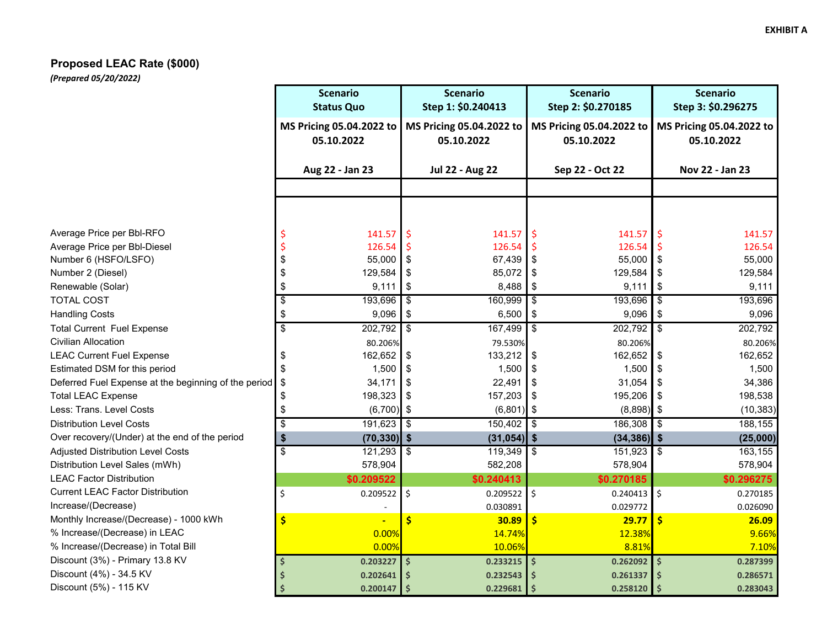## **Proposed LEAC Rate (\$000)**

*(Prepared 05/20/2022)*

|                                                      | <b>Scenario</b><br><b>Status Quo</b>   | <b>Scenario</b><br>Step 1: \$0.240413  | <b>Scenario</b><br>Step 2: \$0.270185                  | <b>Scenario</b><br>Step 3: \$0.296275  |  |  |  |
|------------------------------------------------------|----------------------------------------|----------------------------------------|--------------------------------------------------------|----------------------------------------|--|--|--|
|                                                      | MS Pricing 05.04.2022 to<br>05.10.2022 | MS Pricing 05.04.2022 to<br>05.10.2022 | MS Pricing 05.04.2022 to<br>05.10.2022                 | MS Pricing 05.04.2022 to<br>05.10.2022 |  |  |  |
|                                                      | Aug 22 - Jan 23                        | <b>Jul 22 - Aug 22</b>                 | Sep 22 - Oct 22                                        | Nov 22 - Jan 23                        |  |  |  |
|                                                      |                                        |                                        |                                                        |                                        |  |  |  |
|                                                      |                                        |                                        |                                                        |                                        |  |  |  |
| Average Price per Bbl-RFO                            | 141.57                                 | 141.57                                 | $\zeta$<br>141.57                                      | \$.<br>141.57                          |  |  |  |
| Average Price per Bbl-Diesel                         | 126.54                                 | 126.54                                 | $\varsigma$<br>126.54                                  | 126.54                                 |  |  |  |
| Number 6 (HSFO/LSFO)                                 | \$<br>55,000                           | \$<br>67,439                           | \$<br>55,000                                           | $\sqrt{3}$<br>55,000                   |  |  |  |
| Number 2 (Diesel)                                    | \$<br>129,584                          | 85,072<br>\$                           | \$<br>129,584                                          | \$<br>129,584                          |  |  |  |
| Renewable (Solar)                                    | \$<br>9,111                            | 8,488<br>\$                            | \$<br>9,111                                            | \$<br>9,111                            |  |  |  |
| <b>TOTAL COST</b>                                    | \$<br>193,696                          | \$<br>160,999                          | \$<br>193,696                                          | l \$<br>193,696                        |  |  |  |
| <b>Handling Costs</b>                                | \$<br>9,096                            | \$<br>6,500                            | \$<br>9,096                                            | \$<br>9,096                            |  |  |  |
| <b>Total Current Fuel Expense</b>                    | $\overline{\$}$<br>202,792             | 167,499<br>\$                          | $202,792$ \$<br>\$                                     | 202,792                                |  |  |  |
| <b>Civilian Allocation</b>                           | 80.206%                                | 79.530%                                | 80.206%                                                | 80.206%                                |  |  |  |
| <b>LEAC Current Fuel Expense</b>                     | 162,652<br>\$                          | 133,212<br>\$                          | 162,652<br>\$                                          | 162,652<br>\$                          |  |  |  |
| Estimated DSM for this period                        | \$<br>1,500                            | \$<br>1,500                            | \$<br>1,500                                            | \$<br>1,500                            |  |  |  |
| Deferred Fuel Expense at the beginning of the period | \$<br>34,171                           | 22,491<br>\$                           | $31,054$ \$<br>\$                                      | 34,386                                 |  |  |  |
| <b>Total LEAC Expense</b>                            | 198,323<br>\$                          | 157,203<br>\$                          | 195,206<br>\$                                          | $\overline{1}$ \$<br>198,538           |  |  |  |
| Less: Trans. Level Costs                             | \$<br>(6,700)                          | $(6,801)$ \$<br>$\sqrt{3}$             | $(8,898)$ \$                                           | (10, 383)                              |  |  |  |
| <b>Distribution Level Costs</b>                      | $\overline{\$}$<br>191,623             | $\overline{\mathbf{s}}$<br>150,402     | 186,308<br>\$                                          | $\overline{1}$<br>188,155              |  |  |  |
| Over recovery/(Under) at the end of the period       | \$<br>$(70, 330)$ \$                   | (31, 054)                              | $\boldsymbol{\hat{s}}$<br>$(34, 386)$ \$               | (25,000)                               |  |  |  |
| <b>Adjusted Distribution Level Costs</b>             | $\overline{\$}$<br>121,293             | $\overline{\mathbf{S}}$<br>119,349     | $\overline{\boldsymbol{\mathfrak{s}}}$<br>$151,923$ \$ | 163,155                                |  |  |  |
| Distribution Level Sales (mWh)                       | 578,904                                | 582,208                                | 578,904                                                | 578,904                                |  |  |  |
| <b>LEAC Factor Distribution</b>                      | \$0.209522                             | \$0.240413                             | \$0.270185                                             | \$0.296275                             |  |  |  |
| <b>Current LEAC Factor Distribution</b>              | \$<br>0.209522                         | $0.209522$ \$<br>\$                    | $0.240413$ \$                                          | 0.270185                               |  |  |  |
| Increase/(Decrease)                                  |                                        | 0.030891                               | 0.029772                                               | 0.026090                               |  |  |  |
| Monthly Increase/(Decrease) - 1000 kWh               | \$                                     | \$<br>30.89                            | \$<br>29.77                                            | \$<br>26.09                            |  |  |  |
| % Increase/(Decrease) in LEAC                        | 0.00%                                  | 14.74%                                 | 12.38%                                                 | 9.66%                                  |  |  |  |
| % Increase/(Decrease) in Total Bill                  | 0.00%                                  | 10.06%                                 | 8.81%                                                  | 7.10%                                  |  |  |  |
| Discount (3%) - Primary 13.8 KV                      | \$<br>0.203227                         | $0.233215$ \$<br>$\dot{\mathsf{S}}$    | $0.262092$ \$                                          | 0.287399                               |  |  |  |
| Discount (4%) - 34.5 KV                              | 0.202641                               | 0.232543<br>Ś                          | \$<br>0.261337                                         | \$<br>0.286571                         |  |  |  |
| Discount (5%) - 115 KV                               | 0.200147                               | $\zeta$<br>0.229681                    | $\zeta$<br>0.258120                                    | l \$<br>0.283043                       |  |  |  |